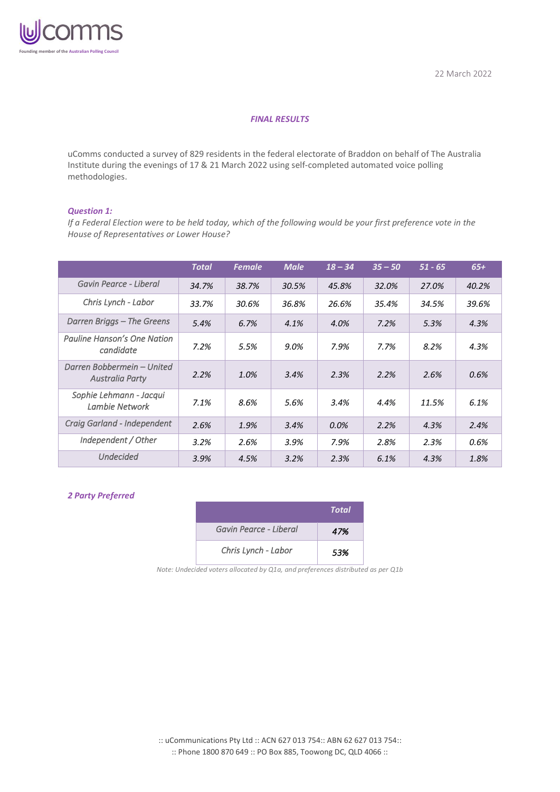

#### *FINAL RESULTS*

uComms conducted a survey of 829 residents in the federal electorate of Braddon on behalf of The Australia Institute during the evenings of 17 & 21 March 2022 using self-completed automated voice polling methodologies.

#### *Question 1:*

*If a Federal Election were to be held today, which of the following would be your first preference vote in the House of Representatives or Lower House?*

|                                               | <b>Total</b> | <b>Female</b> | <b>Male</b> | $18 - 34$ | $35 - 50$ | $51 - 65$ | $65+$ |
|-----------------------------------------------|--------------|---------------|-------------|-----------|-----------|-----------|-------|
| Gavin Pearce - Liberal                        | 34.7%        | 38.7%         | 30.5%       | 45.8%     | 32.0%     | 27.0%     | 40.2% |
| Chris Lynch - Labor                           | 33.7%        | 30.6%         | 36.8%       | 26.6%     | 35.4%     | 34.5%     | 39.6% |
| Darren Briggs – The Greens                    | 5.4%         | 6.7%          | 4.1%        | 4.0%      | 7.2%      | 5.3%      | 4.3%  |
| Pauline Hanson's One Nation<br>candidate      | 7.2%         | 5.5%          | 9.0%        | 7.9%      | 7.7%      | 8.2%      | 4.3%  |
| Darren Bobbermein - United<br>Australia Party | 2.2%         | 1.0%          | 3.4%        | 2.3%      | 2.2%      | 2.6%      | 0.6%  |
| Sophie Lehmann - Jacqui<br>Lambie Network     | 7.1%         | 8.6%          | 5.6%        | 3.4%      | 4.4%      | 11.5%     | 6.1%  |
| Craig Garland - Independent                   | 2.6%         | 1.9%          | 3.4%        | 0.0%      | 2.2%      | 4.3%      | 2.4%  |
| Independent / Other                           | 3.2%         | 2.6%          | 3.9%        | 7.9%      | 2.8%      | 2.3%      | 0.6%  |
| <b>Undecided</b>                              | 3.9%         | 4.5%          | 3.2%        | 2.3%      | 6.1%      | 4.3%      | 1.8%  |

#### *2 Party Preferred*

|                        | Total |
|------------------------|-------|
| Gavin Pearce - Liberal | 47%   |
| Chris Lynch - Labor    | 53%   |

*Note: Undecided voters allocated by Q1a, and preferences distributed as per Q1b*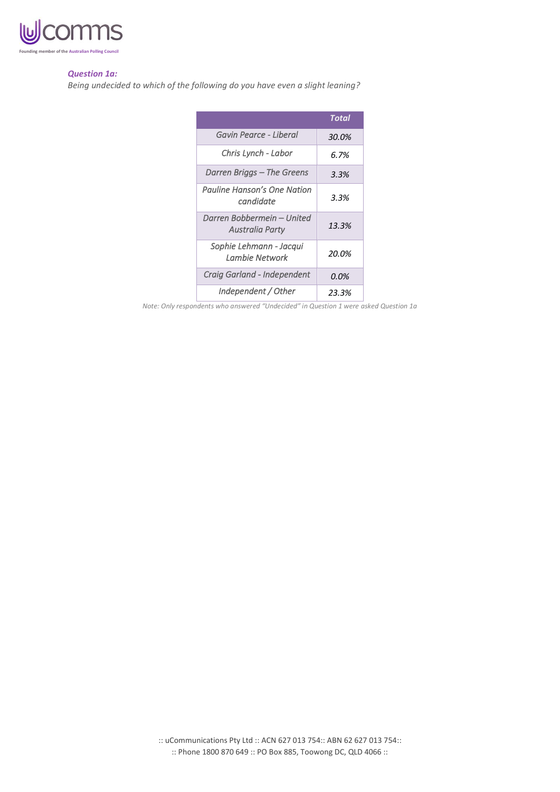

#### *Question 1a:*

*Being undecided to which of the following do you have even a slight leaning?*

|                                                      | Total |
|------------------------------------------------------|-------|
| Gavin Pearce - Liberal                               | 30.0% |
| Chris Lynch - Labor                                  | 6.7%  |
| Darren Briggs – The Greens                           | 3.3%  |
| Pauline Hanson's One Nation<br>candidate             | 3.3%  |
| Darren Bobbermein – United<br><b>Australia Party</b> | 13.3% |
| Sophie Lehmann - Jacqui<br>Lambie Network            | 20.0% |
| Craig Garland - Independent                          | 0.0%  |
| Independent / Other                                  | 23.3% |

*Note: Only respondents who answered "Undecided" in Question 1 were asked Question 1a*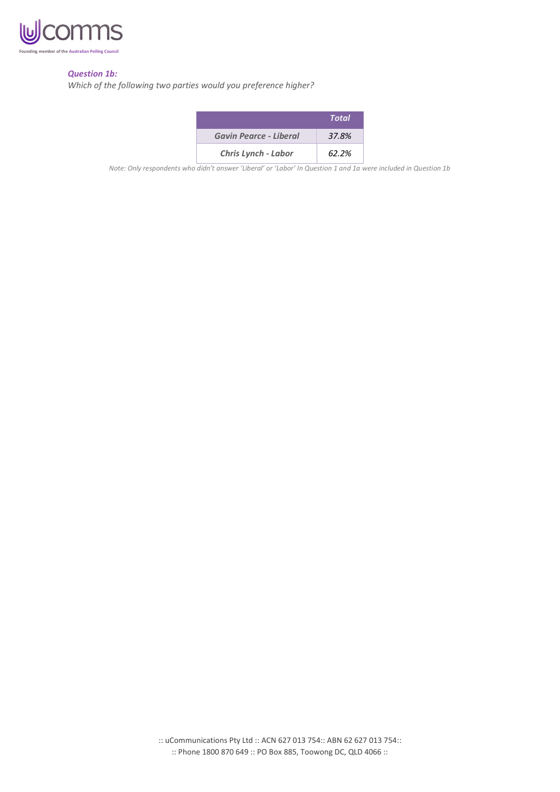

# *Question 1b:*

*Which of the following two parties would you preference higher?*

|                            | Total |
|----------------------------|-------|
| Gavin Pearce - Liberal     | 37.8% |
| <b>Chris Lynch - Labor</b> | 62.2% |

*Note: Only respondents who didn't answer 'Liberal' or 'Labor' In Question 1 and 1a were included in Question 1b*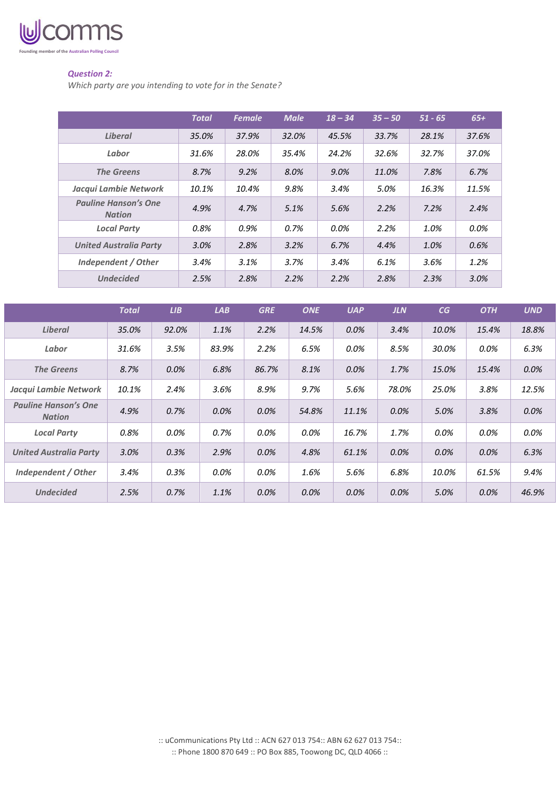

# *Question 2:*

*Which party are you intending to vote for in the Senate?*

|                                              | <b>Total</b> | <b>Female</b> | <b>Male</b> | $18 - 34$ | $35 - 50$ | $51 - 65$ | $65+$ |
|----------------------------------------------|--------------|---------------|-------------|-----------|-----------|-----------|-------|
| <b>Liberal</b>                               | 35.0%        | 37.9%         | 32.0%       | 45.5%     | 33.7%     | 28.1%     | 37.6% |
| Labor                                        | 31.6%        | 28.0%         | 35.4%       | 24.2%     | 32.6%     | 32.7%     | 37.0% |
| <b>The Greens</b>                            | 8.7%         | 9.2%          | 8.0%        | $9.0\%$   | 11.0%     | 7.8%      | 6.7%  |
| Jacqui Lambie Network                        | 10.1%        | 10.4%         | 9.8%        | 3.4%      | 5.0%      | 16.3%     | 11.5% |
| <b>Pauline Hanson's One</b><br><b>Nation</b> | 4.9%         | 4.7%          | 5.1%        | 5.6%      | 2.2%      | 7.2%      | 2.4%  |
| <b>Local Party</b>                           | 0.8%         | 0.9%          | 0.7%        | $0.0\%$   | 2.2%      | 1.0%      | 0.0%  |
| <b>United Australia Party</b>                | 3.0%         | 2.8%          | 3.2%        | 6.7%      | 4.4%      | 1.0%      | 0.6%  |
| Independent / Other                          | 3.4%         | 3.1%          | 3.7%        | 3.4%      | 6.1%      | 3.6%      | 1.2%  |
| <b>Undecided</b>                             | 2.5%         | 2.8%          | 2.2%        | 2.2%      | 2.8%      | 2.3%      | 3.0%  |

|                                              | <b>Total</b> | LIB     | LAB   | <b>GRE</b> | <b>ONE</b> | <b>UAP</b> | <b>JLN</b> | CG      | <b>OTH</b> | <b>UND</b> |
|----------------------------------------------|--------------|---------|-------|------------|------------|------------|------------|---------|------------|------------|
| Liberal                                      | 35.0%        | 92.0%   | 1.1%  | 2.2%       | 14.5%      | 0.0%       | 3.4%       | 10.0%   | 15.4%      | 18.8%      |
| Labor                                        | 31.6%        | 3.5%    | 83.9% | 2.2%       | 6.5%       | 0.0%       | 8.5%       | 30.0%   | 0.0%       | 6.3%       |
| <b>The Greens</b>                            | 8.7%         | $0.0\%$ | 6.8%  | 86.7%      | 8.1%       | $0.0\%$    | 1.7%       | 15.0%   | 15.4%      | 0.0%       |
| Jacqui Lambie Network                        | 10.1%        | 2.4%    | 3.6%  | 8.9%       | 9.7%       | 5.6%       | 78.0%      | 25.0%   | 3.8%       | 12.5%      |
| <b>Pauline Hanson's One</b><br><b>Nation</b> | 4.9%         | 0.7%    | 0.0%  | 0.0%       | 54.8%      | 11.1%      | $0.0\%$    | 5.0%    | 3.8%       | 0.0%       |
| <b>Local Party</b>                           | 0.8%         | 0.0%    | 0.7%  | 0.0%       | 0.0%       | 16.7%      | 1.7%       | 0.0%    | 0.0%       | 0.0%       |
| <b>United Australia Party</b>                | 3.0%         | 0.3%    | 2.9%  | 0.0%       | 4.8%       | 61.1%      | $0.0\%$    | $0.0\%$ | $0.0\%$    | 6.3%       |
| Independent / Other                          | 3.4%         | 0.3%    | 0.0%  | 0.0%       | 1.6%       | 5.6%       | 6.8%       | 10.0%   | 61.5%      | 9.4%       |
| <b>Undecided</b>                             | 2.5%         | 0.7%    | 1.1%  | 0.0%       | 0.0%       | $0.0\%$    | 0.0%       | 5.0%    | $0.0\%$    | 46.9%      |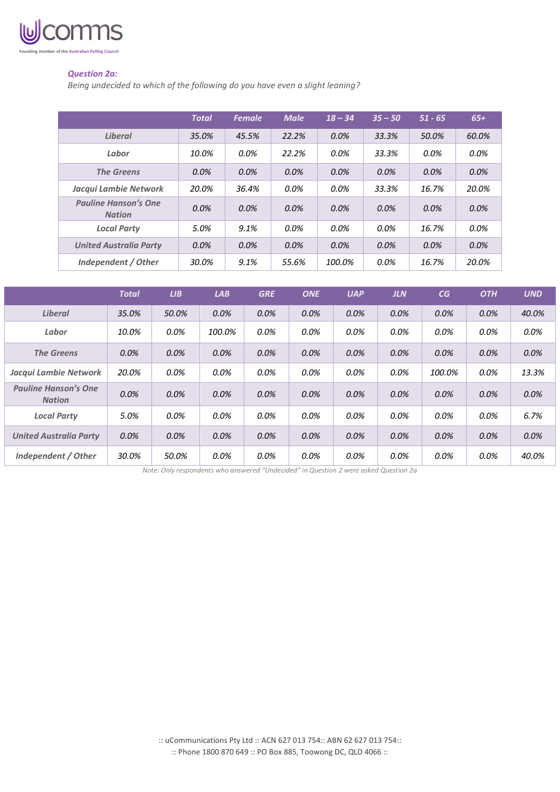

# *Question 2a:*

*Being undecided to which of the following do you have even a slight leaning?*

|                                              | <b>Total</b> | <b>Female</b> | <b>Male</b> | $18 - 34$ | $35 - 50$ | $51 - 65$ | $65+$   |
|----------------------------------------------|--------------|---------------|-------------|-----------|-----------|-----------|---------|
| <b>Liberal</b>                               | 35.0%        | 45.5%         | 22.2%       | 0.0%      | 33.3%     | 50.0%     | 60.0%   |
| Labor                                        | 10.0%        | $0.0\%$       | 22.2%       | $0.0\%$   | 33.3%     | $0.0\%$   | $0.0\%$ |
| <b>The Greens</b>                            | $0.0\%$      | 0.0%          | $0.0\%$     | 0.0%      | $0.0\%$   | $0.0\%$   | 0.0%    |
| Jacqui Lambie Network                        | 20.0%        | 36.4%         | $0.0\%$     | $0.0\%$   | 33.3%     | 16.7%     | 20.0%   |
| <b>Pauline Hanson's One</b><br><b>Nation</b> | $0.0\%$      | $0.0\%$       | $0.0\%$     | $0.0\%$   | $0.0\%$   | 0.0%      | 0.0%    |
| <b>Local Party</b>                           | 5.0%         | 9.1%          | $0.0\%$     | $0.0\%$   | 0.0%      | 16.7%     | $0.0\%$ |
| <b>United Australia Party</b>                | 0.0%         | 0.0%          | 0.0%        | 0.0%      | $0.0\%$   | $0.0\%$   | 0.0%    |
| Independent / Other                          | 30.0%        | 9.1%          | 55.6%       | 100.0%    | $0.0\%$   | 16.7%     | 20.0%   |

|                                              | <b>Total</b> | LIB   | <b>LAB</b> | <b>GRE</b> | <b>ONE</b> | <b>UAP</b> | <b>JLN</b> | CG      | <b>OTH</b> | <b>UND</b> |
|----------------------------------------------|--------------|-------|------------|------------|------------|------------|------------|---------|------------|------------|
| <b>Liberal</b>                               | 35.0%        | 50.0% | 0.0%       | 0.0%       | 0.0%       | 0.0%       | 0.0%       | 0.0%    | 0.0%       | 40.0%      |
| Labor                                        | 10.0%        | 0.0%  | 100.0%     | 0.0%       | 0.0%       | 0.0%       | 0.0%       | $0.0\%$ | $0.0\%$    | 0.0%       |
| <b>The Greens</b>                            | 0.0%         | 0.0%  | $0.0\%$    | 0.0%       | 0.0%       | 0.0%       | 0.0%       | 0.0%    | 0.0%       | 0.0%       |
| Jacqui Lambie Network                        | 20.0%        | 0.0%  | 0.0%       | 0.0%       | 0.0%       | 0.0%       | 0.0%       | 100.0%  | $0.0\%$    | 13.3%      |
| <b>Pauline Hanson's One</b><br><b>Nation</b> | $0.0\%$      | 0.0%  | $0.0\%$    | $0.0\%$    | 0.0%       | 0.0%       | 0.0%       | 0.0%    | $0.0\%$    | $0.0\%$    |
| <b>Local Party</b>                           | 5.0%         | 0.0%  | 0.0%       | 0.0%       | 0.0%       | 0.0%       | 0.0%       | 0.0%    | 0.0%       | 6.7%       |
| <b>United Australia Party</b>                | 0.0%         | 0.0%  | $0.0\%$    | $0.0\%$    | 0.0%       | 0.0%       | 0.0%       | 0.0%    | $0.0\%$    | 0.0%       |
| Independent / Other                          | 30.0%        | 50.0% | 0.0%       | 0.0%       | 0.0%       | 0.0%       | 0.0%       | $0.0\%$ | 0.0%       | 40.0%      |

*Note: Only respondents who answered "Undecided" in Question 2 were asked Question 2a*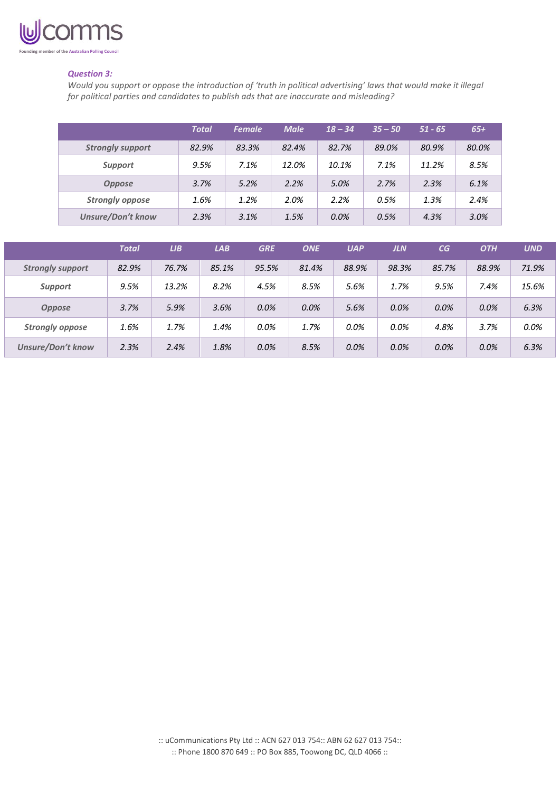

# *Question 3:*

*Would you support or oppose the introduction of 'truth in political advertising' laws that would make it illegal for political parties and candidates to publish ads that are inaccurate and misleading?*

|                          | <b>Total</b> | <b>Female</b> | <b>Male</b> | $18 - 34$ | $35 - 50$ | $51 - 65$ | $65+$ |
|--------------------------|--------------|---------------|-------------|-----------|-----------|-----------|-------|
| <b>Strongly support</b>  | 82.9%        | 83.3%         | 82.4%       | 82.7%     | 89.0%     | 80.9%     | 80.0% |
| <b>Support</b>           | 9.5%         | 7.1%          | 12.0%       | 10.1%     | 7.1%      | 11.2%     | 8.5%  |
| <b>Oppose</b>            | 3.7%         | 5.2%          | 2.2%        | 5.0%      | 2.7%      | 2.3%      | 6.1%  |
| <b>Strongly oppose</b>   | 1.6%         | 1.2%          | 2.0%        | 2.2%      | 0.5%      | 1.3%      | 2.4%  |
| <b>Unsure/Don't know</b> | 2.3%         | 3.1%          | 1.5%        | 0.0%      | 0.5%      | 4.3%      | 3.0%  |

|                          | <b>Total</b> | LIB   | <b>LAB</b> | <b>GRE</b> | <b>ONE</b> | <b>UAP</b> | <b>JLN</b> | CG    | <b>OTH</b> | <b>UND</b> |
|--------------------------|--------------|-------|------------|------------|------------|------------|------------|-------|------------|------------|
| <b>Strongly support</b>  | 82.9%        | 76.7% | 85.1%      | 95.5%      | 81.4%      | 88.9%      | 98.3%      | 85.7% | 88.9%      | 71.9%      |
| Support                  | 9.5%         | 13.2% | 8.2%       | 4.5%       | 8.5%       | 5.6%       | 1.7%       | 9.5%  | 7.4%       | 15.6%      |
| <b>Oppose</b>            | 3.7%         | 5.9%  | 3.6%       | 0.0%       | 0.0%       | 5.6%       | 0.0%       | 0.0%  | 0.0%       | 6.3%       |
| <b>Strongly oppose</b>   | 1.6%         | 1.7%  | 1.4%       | 0.0%       | 1.7%       | 0.0%       | 0.0%       | 4.8%  | 3.7%       | 0.0%       |
| <b>Unsure/Don't know</b> | 2.3%         | 2.4%  | 1.8%       | 0.0%       | 8.5%       | 0.0%       | 0.0%       | 0.0%  | 0.0%       | 6.3%       |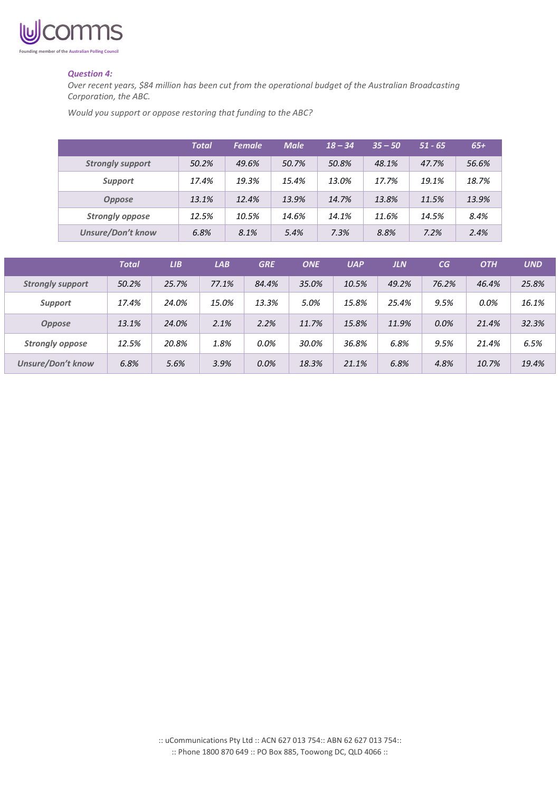

#### *Question 4:*

*Over recent years, \$84 million has been cut from the operational budget of the Australian Broadcasting Corporation, the ABC.*

*Would you support or oppose restoring that funding to the ABC?*

|                          | <b>Total</b> | <b>Female</b> | <b>Male</b> | $18 - 34$ | $35 - 50$ | $51 - 65$ | $65+$ |
|--------------------------|--------------|---------------|-------------|-----------|-----------|-----------|-------|
| <b>Strongly support</b>  | 50.2%        | 49.6%         | 50.7%       | 50.8%     | 48.1%     | 47.7%     | 56.6% |
| <b>Support</b>           | 17.4%        | 19.3%         | 15.4%       | 13.0%     | 17.7%     | 19.1%     | 18.7% |
| <b>Oppose</b>            | 13.1%        | 12.4%         | 13.9%       | 14.7%     | 13.8%     | 11.5%     | 13.9% |
| <b>Strongly oppose</b>   | 12.5%        | 10.5%         | 14.6%       | 14.1%     | 11.6%     | 14.5%     | 8.4%  |
| <b>Unsure/Don't know</b> | 6.8%         | 8.1%          | 5.4%        | 7.3%      | 8.8%      | 7.2%      | 2.4%  |

|                          | <b>Total</b> | LIB   | <b>LAB</b> | <b>GRE</b> | <b>ONE</b> | <b>UAP</b> | <b>JLN</b> | CG    | <b>OTH</b> | <b>UND</b> |
|--------------------------|--------------|-------|------------|------------|------------|------------|------------|-------|------------|------------|
| <b>Strongly support</b>  | 50.2%        | 25.7% | 77.1%      | 84.4%      | 35.0%      | 10.5%      | 49.2%      | 76.2% | 46.4%      | 25.8%      |
| <b>Support</b>           | 17.4%        | 24.0% | 15.0%      | 13.3%      | 5.0%       | 15.8%      | 25.4%      | 9.5%  | $0.0\%$    | 16.1%      |
| <b>Oppose</b>            | 13.1%        | 24.0% | 2.1%       | 2.2%       | 11.7%      | 15.8%      | 11.9%      | 0.0%  | 21.4%      | 32.3%      |
| <b>Strongly oppose</b>   | 12.5%        | 20.8% | 1.8%       | $0.0\%$    | 30.0%      | 36.8%      | 6.8%       | 9.5%  | 21.4%      | 6.5%       |
| <b>Unsure/Don't know</b> | 6.8%         | 5.6%  | 3.9%       | 0.0%       | 18.3%      | 21.1%      | 6.8%       | 4.8%  | 10.7%      | 19.4%      |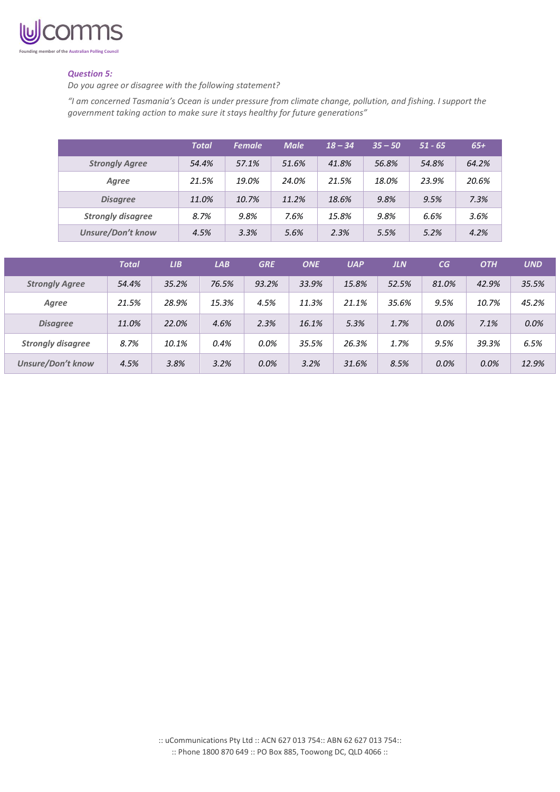

# *Question 5:*

*Do you agree or disagree with the following statement?*

*"I am concerned Tasmania's Ocean is under pressure from climate change, pollution, and fishing. I support the government taking action to make sure it stays healthy for future generations"*

|                          | <b>Total</b> | <b>Female</b> | <b>Male</b> | $18 - 34$ | $35 - 50$ | $51 - 65$ | $65+$ |
|--------------------------|--------------|---------------|-------------|-----------|-----------|-----------|-------|
| <b>Strongly Agree</b>    | 54.4%        | 57.1%         | 51.6%       | 41.8%     | 56.8%     | 54.8%     | 64.2% |
| Agree                    | 21.5%        | 19.0%         | 24.0%       | 21.5%     | 18.0%     | 23.9%     | 20.6% |
| <b>Disagree</b>          | 11.0%        | 10.7%         | 11.2%       | 18.6%     | 9.8%      | 9.5%      | 7.3%  |
| <b>Strongly disagree</b> | 8.7%         | 9.8%          | 7.6%        | 15.8%     | 9.8%      | 6.6%      | 3.6%  |
| <b>Unsure/Don't know</b> | 4.5%         | 3.3%          | 5.6%        | 2.3%      | 5.5%      | 5.2%      | 4.2%  |

|                          | <b>Total</b> | LIB   | LAB   | <b>GRE</b> | <b>ONE</b> | <b>UAP</b> | <b>JLN</b> | CG    | <b>OTH</b> | <b>UND</b> |
|--------------------------|--------------|-------|-------|------------|------------|------------|------------|-------|------------|------------|
| <b>Strongly Agree</b>    | 54.4%        | 35.2% | 76.5% | 93.2%      | 33.9%      | 15.8%      | 52.5%      | 81.0% | 42.9%      | 35.5%      |
| Agree                    | 21.5%        | 28.9% | 15.3% | 4.5%       | 11.3%      | 21.1%      | 35.6%      | 9.5%  | 10.7%      | 45.2%      |
| <b>Disagree</b>          | 11.0%        | 22.0% | 4.6%  | 2.3%       | 16.1%      | 5.3%       | 1.7%       | 0.0%  | 7.1%       | 0.0%       |
| <b>Strongly disagree</b> | 8.7%         | 10.1% | 0.4%  | 0.0%       | 35.5%      | 26.3%      | 1.7%       | 9.5%  | 39.3%      | 6.5%       |
| <b>Unsure/Don't know</b> | 4.5%         | 3.8%  | 3.2%  | 0.0%       | 3.2%       | 31.6%      | 8.5%       | 0.0%  | 0.0%       | 12.9%      |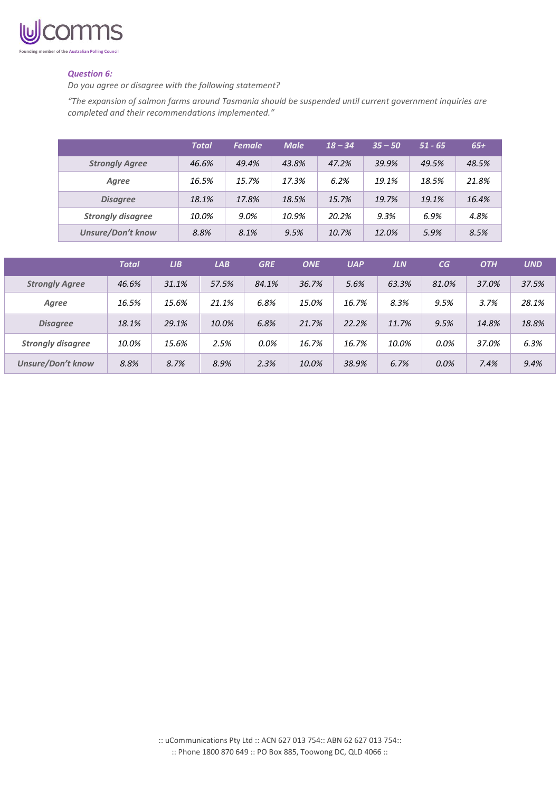

# *Question 6:*

*Do you agree or disagree with the following statement?*

*"The expansion of salmon farms around Tasmania should be suspended until current government inquiries are completed and their recommendations implemented."*

|                          | <b>Total</b> | <b>Female</b> | <b>Male</b> | $18 - 34$ | $35 - 50$ | $51 - 65$ | $65+$ |
|--------------------------|--------------|---------------|-------------|-----------|-----------|-----------|-------|
| <b>Strongly Agree</b>    | 46.6%        | 49.4%         | 43.8%       | 47.2%     | 39.9%     | 49.5%     | 48.5% |
| Agree                    | 16.5%        | 15.7%         | 17.3%       | 6.2%      | 19.1%     | 18.5%     | 21.8% |
| <b>Disagree</b>          | 18.1%        | 17.8%         | 18.5%       | 15.7%     | 19.7%     | 19.1%     | 16.4% |
| <b>Strongly disagree</b> | 10.0%        | $9.0\%$       | 10.9%       | 20.2%     | 9.3%      | 6.9%      | 4.8%  |
| <b>Unsure/Don't know</b> | 8.8%         | 8.1%          | 9.5%        | 10.7%     | 12.0%     | 5.9%      | 8.5%  |

|                          | <b>Total</b> | LIB   | <b>LAB</b> | <b>GRE</b> | <b>ONE</b> | <b>UAP</b> | <b>JLN</b> | CG    | <b>OTH</b> | <b>UND</b> |
|--------------------------|--------------|-------|------------|------------|------------|------------|------------|-------|------------|------------|
| <b>Strongly Agree</b>    | 46.6%        | 31.1% | 57.5%      | 84.1%      | 36.7%      | 5.6%       | 63.3%      | 81.0% | 37.0%      | 37.5%      |
| Agree                    | 16.5%        | 15.6% | 21.1%      | 6.8%       | 15.0%      | 16.7%      | 8.3%       | 9.5%  | 3.7%       | 28.1%      |
| <b>Disagree</b>          | 18.1%        | 29.1% | 10.0%      | 6.8%       | 21.7%      | 22.2%      | 11.7%      | 9.5%  | 14.8%      | 18.8%      |
| <b>Strongly disagree</b> | 10.0%        | 15.6% | 2.5%       | 0.0%       | 16.7%      | 16.7%      | 10.0%      | 0.0%  | 37.0%      | 6.3%       |
| <b>Unsure/Don't know</b> | 8.8%         | 8.7%  | 8.9%       | 2.3%       | 10.0%      | 38.9%      | 6.7%       | 0.0%  | 7.4%       | 9.4%       |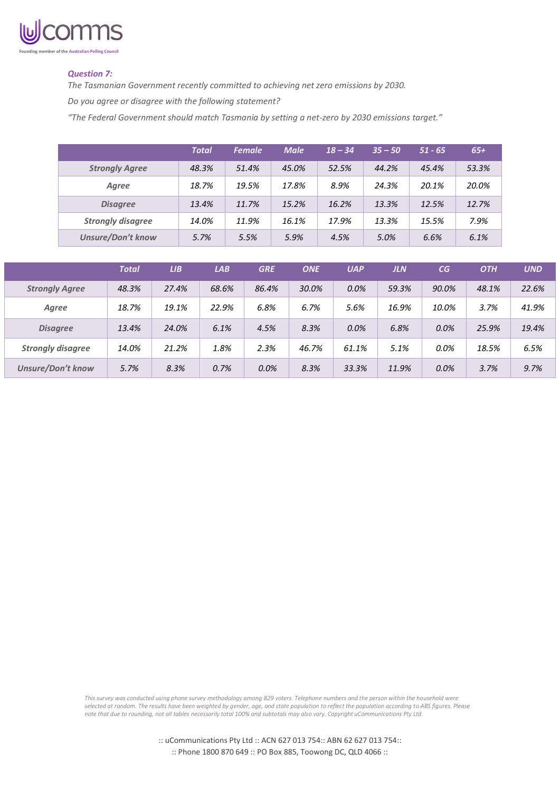

# *Question 7:*

*The Tasmanian Government recently committed to achieving net zero emissions by 2030. Do you agree or disagree with the following statement?*

*"The Federal Government should match Tasmania by setting a net-zero by 2030 emissions target."*

|                          | <b>Total</b> | <b>Female</b> | <b>Male</b> | $18 - 34$ | $35 - 50$ | $51 - 65$ | $65+$ |
|--------------------------|--------------|---------------|-------------|-----------|-----------|-----------|-------|
| <b>Strongly Agree</b>    | 48.3%        | 51.4%         | 45.0%       | 52.5%     | 44.2%     | 45.4%     | 53.3% |
| Agree                    | 18.7%        | 19.5%         | 17.8%       | 8.9%      | 24.3%     | 20.1%     | 20.0% |
| <b>Disagree</b>          | 13.4%        | 11.7%         | 15.2%       | 16.2%     | 13.3%     | 12.5%     | 12.7% |
| <b>Strongly disagree</b> | 14.0%        | 11.9%         | 16.1%       | 17.9%     | 13.3%     | 15.5%     | 7.9%  |
| <b>Unsure/Don't know</b> | 5.7%         | 5.5%          | 5.9%        | 4.5%      | 5.0%      | 6.6%      | 6.1%  |

|                          | <b>Total</b> | LIB   | LAB   | <b>GRE</b> | <b>ONE</b> | <b>UAP</b> | JLN   | CG    | <b>OTH</b> | <b>UND</b> |
|--------------------------|--------------|-------|-------|------------|------------|------------|-------|-------|------------|------------|
| <b>Strongly Agree</b>    | 48.3%        | 27.4% | 68.6% | 86.4%      | 30.0%      | 0.0%       | 59.3% | 90.0% | 48.1%      | 22.6%      |
| Agree                    | 18.7%        | 19.1% | 22.9% | 6.8%       | 6.7%       | 5.6%       | 16.9% | 10.0% | 3.7%       | 41.9%      |
| <b>Disagree</b>          | 13.4%        | 24.0% | 6.1%  | 4.5%       | 8.3%       | 0.0%       | 6.8%  | 0.0%  | 25.9%      | 19.4%      |
| <b>Strongly disagree</b> | 14.0%        | 21.2% | 1.8%  | 2.3%       | 46.7%      | 61.1%      | 5.1%  | 0.0%  | 18.5%      | 6.5%       |
| <b>Unsure/Don't know</b> | 5.7%         | 8.3%  | 0.7%  | 0.0%       | 8.3%       | 33.3%      | 11.9% | 0.0%  | 3.7%       | 9.7%       |

*This survey was conducted using phone survey methodology among 829 voters. Telephone numbers and the person within the household were selected at random. The results have been weighted by gender, age, and state population to reflect the population according to ABS figures. Please note that due to rounding, not all tables necessarily total 100% and subtotals may also vary. Copyright uCommunications Pty Ltd.*

> :: uCommunications Pty Ltd :: ACN 627 013 754:: ABN 62 627 013 754:: :: Phone 1800 870 649 :: PO Box 885, Toowong DC, QLD 4066 ::